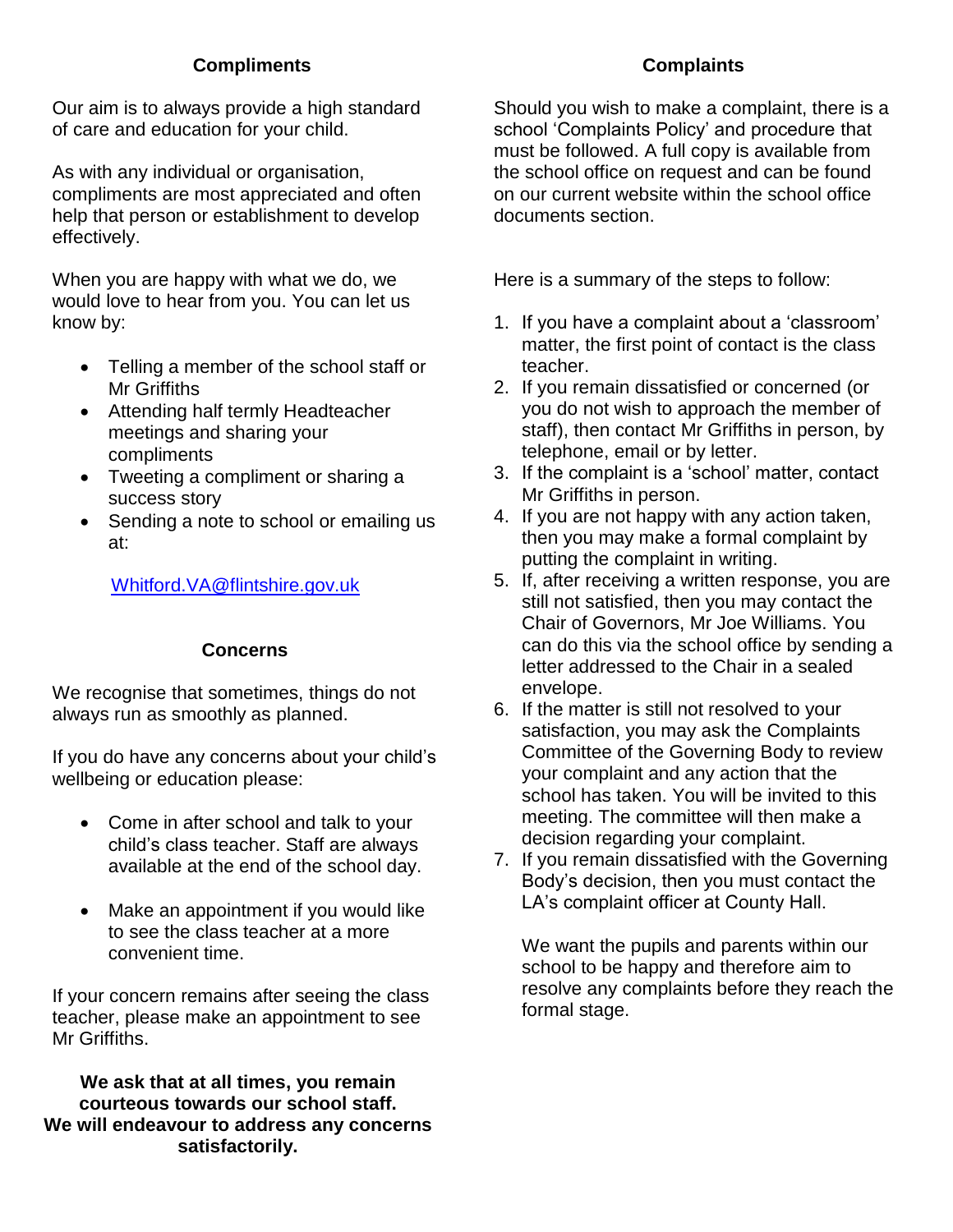## **Compliments**

Our aim is to always provide a high standard of care and education for your child.

As with any individual or organisation, compliments are most appreciated and often help that person or establishment to develop effectively.

When you are happy with what we do, we would love to hear from you. You can let us know by:

- Telling a member of the school staff or Mr Griffiths
- Attending half termly Headteacher meetings and sharing your compliments
- Tweeting a compliment or sharing a success story
- Sending a note to school or emailing us at:

## [Whitford.VA@flintshire.gov.uk](mailto:Whitford.VA@flintshire.gov.uk)

## **Concerns**

We recognise that sometimes, things do not always run as smoothly as planned.

If you do have any concerns about your child's wellbeing or education please:

- Come in after school and talk to your child's class teacher. Staff are always available at the end of the school day.
- Make an appointment if you would like to see the class teacher at a more convenient time.

If your concern remains after seeing the class teacher, please make an appointment to see Mr Griffiths.

**We ask that at all times, you remain courteous towards our school staff. We will endeavour to address any concerns satisfactorily.**

## **Complaints**

Should you wish to make a complaint, there is a school 'Complaints Policy' and procedure that must be followed. A full copy is available from the school office on request and can be found on our current website within the school office documents section.

Here is a summary of the steps to follow:

- 1. If you have a complaint about a 'classroom' matter, the first point of contact is the class teacher.
- 2. If you remain dissatisfied or concerned (or you do not wish to approach the member of staff), then contact Mr Griffiths in person, by telephone, email or by letter.
- 3. If the complaint is a 'school' matter, contact Mr Griffiths in person.
- 4. If you are not happy with any action taken, then you may make a formal complaint by putting the complaint in writing.
- 5. If, after receiving a written response, you are still not satisfied, then you may contact the Chair of Governors, Mr Joe Williams. You can do this via the school office by sending a letter addressed to the Chair in a sealed envelope.
- 6. If the matter is still not resolved to your satisfaction, you may ask the Complaints Committee of the Governing Body to review your complaint and any action that the school has taken. You will be invited to this meeting. The committee will then make a decision regarding your complaint.
- 7. If you remain dissatisfied with the Governing Body's decision, then you must contact the LA's complaint officer at County Hall.

We want the pupils and parents within our school to be happy and therefore aim to resolve any complaints before they reach the formal stage.